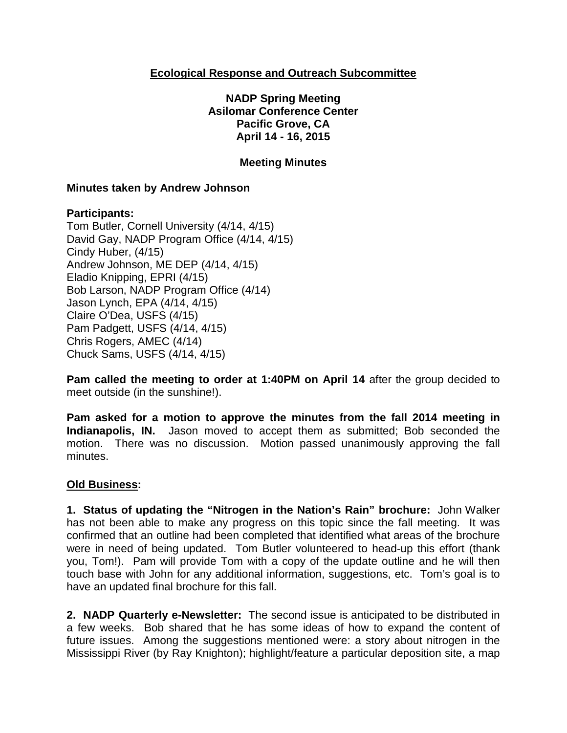## **Ecological Response and Outreach Subcommittee**

**NADP Spring Meeting Asilomar Conference Center Pacific Grove, CA April 14 - 16, 2015**

### **Meeting Minutes**

### **Minutes taken by Andrew Johnson**

### **Participants:**

Tom Butler, Cornell University (4/14, 4/15) David Gay, NADP Program Office (4/14, 4/15) Cindy Huber, (4/15) Andrew Johnson, ME DEP (4/14, 4/15) Eladio Knipping, EPRI (4/15) Bob Larson, NADP Program Office (4/14) Jason Lynch, EPA (4/14, 4/15) Claire O'Dea, USFS (4/15) Pam Padgett, USFS (4/14, 4/15) Chris Rogers, AMEC (4/14) Chuck Sams, USFS (4/14, 4/15)

**Pam called the meeting to order at 1:40PM on April 14** after the group decided to meet outside (in the sunshine!).

**Pam asked for a motion to approve the minutes from the fall 2014 meeting in Indianapolis, IN.** Jason moved to accept them as submitted; Bob seconded the motion. There was no discussion. Motion passed unanimously approving the fall minutes.

### **Old Business:**

**1. Status of updating the "Nitrogen in the Nation's Rain" brochure:** John Walker has not been able to make any progress on this topic since the fall meeting. It was confirmed that an outline had been completed that identified what areas of the brochure were in need of being updated. Tom Butler volunteered to head-up this effort (thank you, Tom!). Pam will provide Tom with a copy of the update outline and he will then touch base with John for any additional information, suggestions, etc. Tom's goal is to have an updated final brochure for this fall.

**2. NADP Quarterly e-Newsletter:** The second issue is anticipated to be distributed in a few weeks. Bob shared that he has some ideas of how to expand the content of future issues. Among the suggestions mentioned were: a story about nitrogen in the Mississippi River (by Ray Knighton); highlight/feature a particular deposition site, a map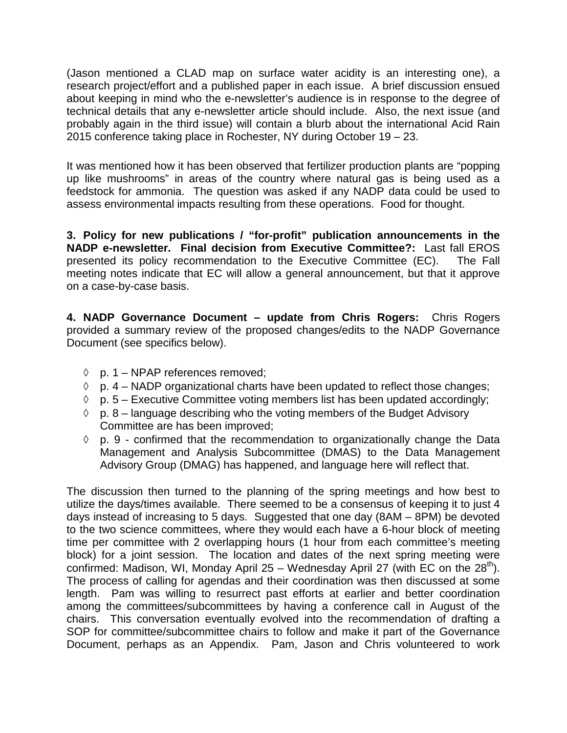(Jason mentioned a CLAD map on surface water acidity is an interesting one), a research project/effort and a published paper in each issue. A brief discussion ensued about keeping in mind who the e-newsletter's audience is in response to the degree of technical details that any e-newsletter article should include. Also, the next issue (and probably again in the third issue) will contain a blurb about the international Acid Rain 2015 conference taking place in Rochester, NY during October 19 – 23.

It was mentioned how it has been observed that fertilizer production plants are "popping up like mushrooms" in areas of the country where natural gas is being used as a feedstock for ammonia. The question was asked if any NADP data could be used to assess environmental impacts resulting from these operations. Food for thought.

**3. Policy for new publications / "for-profit" publication announcements in the NADP e-newsletter. Final decision from Executive Committee?:** Last fall EROS presented its policy recommendation to the Executive Committee (EC). The Fall meeting notes indicate that EC will allow a general announcement, but that it approve on a case-by-case basis.

**4. NADP Governance Document – update from Chris Rogers:** Chris Rogers provided a summary review of the proposed changes/edits to the NADP Governance Document (see specifics below).

- ◊ p. 1 NPAP references removed;
- $\Diamond$  p. 4 NADP organizational charts have been updated to reflect those changes;
- $\Diamond$  p. 5 Executive Committee voting members list has been updated accordingly;
- $\Diamond$  p. 8 language describing who the voting members of the Budget Advisory Committee are has been improved;
- $\Diamond$  p. 9 confirmed that the recommendation to organizationally change the Data Management and Analysis Subcommittee (DMAS) to the Data Management Advisory Group (DMAG) has happened, and language here will reflect that.

The discussion then turned to the planning of the spring meetings and how best to utilize the days/times available. There seemed to be a consensus of keeping it to just 4 days instead of increasing to 5 days. Suggested that one day (8AM – 8PM) be devoted to the two science committees, where they would each have a 6-hour block of meeting time per committee with 2 overlapping hours (1 hour from each committee's meeting block) for a joint session. The location and dates of the next spring meeting were confirmed: Madison, WI, Monday April 25 – Wednesday April 27 (with EC on the  $28<sup>th</sup>$ ). The process of calling for agendas and their coordination was then discussed at some length. Pam was willing to resurrect past efforts at earlier and better coordination among the committees/subcommittees by having a conference call in August of the chairs. This conversation eventually evolved into the recommendation of drafting a SOP for committee/subcommittee chairs to follow and make it part of the Governance Document, perhaps as an Appendix. Pam, Jason and Chris volunteered to work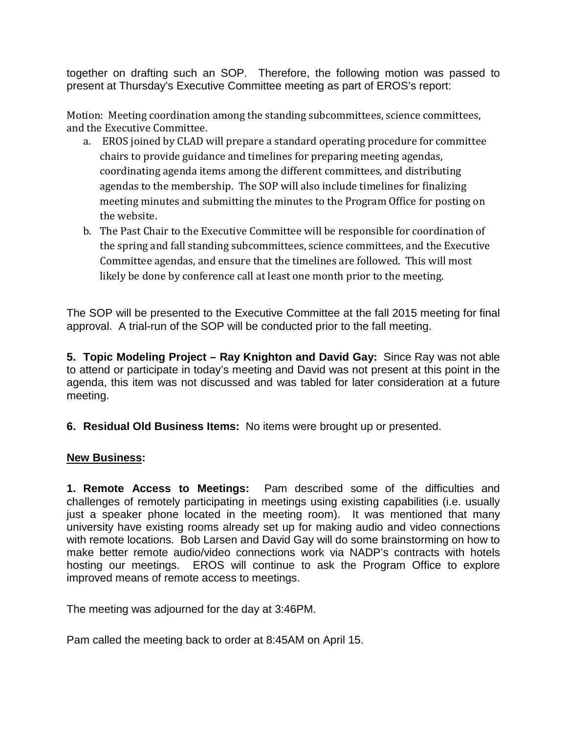together on drafting such an SOP. Therefore, the following motion was passed to present at Thursday's Executive Committee meeting as part of EROS's report:

Motion: Meeting coordination among the standing subcommittees, science committees, and the Executive Committee.

- a. EROS joined by CLAD will prepare a standard operating procedure for committee chairs to provide guidance and timelines for preparing meeting agendas, coordinating agenda items among the different committees, and distributing agendas to the membership. The SOP will also include timelines for finalizing meeting minutes and submitting the minutes to the Program Office for posting on the website.
- b. The Past Chair to the Executive Committee will be responsible for coordination of the spring and fall standing subcommittees, science committees, and the Executive Committee agendas, and ensure that the timelines are followed. This will most likely be done by conference call at least one month prior to the meeting.

The SOP will be presented to the Executive Committee at the fall 2015 meeting for final approval. A trial-run of the SOP will be conducted prior to the fall meeting.

**5. Topic Modeling Project – Ray Knighton and David Gay:** Since Ray was not able to attend or participate in today's meeting and David was not present at this point in the agenda, this item was not discussed and was tabled for later consideration at a future meeting.

**6. Residual Old Business Items:** No items were brought up or presented.

# **New Business:**

**1. Remote Access to Meetings:** Pam described some of the difficulties and challenges of remotely participating in meetings using existing capabilities (i.e. usually just a speaker phone located in the meeting room). It was mentioned that many university have existing rooms already set up for making audio and video connections with remote locations. Bob Larsen and David Gay will do some brainstorming on how to make better remote audio/video connections work via NADP's contracts with hotels hosting our meetings. EROS will continue to ask the Program Office to explore improved means of remote access to meetings.

The meeting was adjourned for the day at 3:46PM.

Pam called the meeting back to order at 8:45AM on April 15.